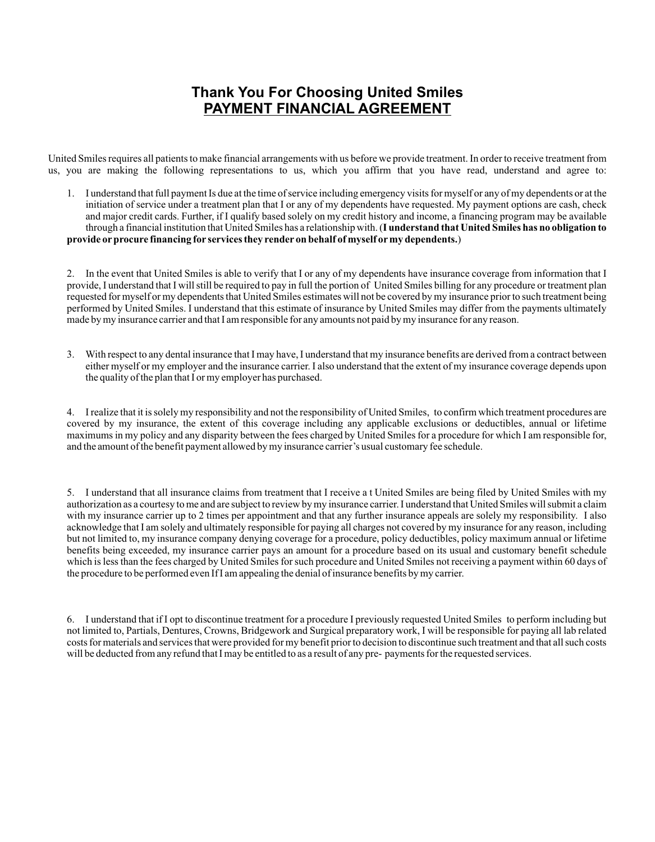## **Thank You For Choosing United Smiles PAYMENT FINANCIAL AGREEMENT**

United Smiles requires all patients to make financial arrangements with us before we provide treatment. In order to receive treatment from us, you are making the following representations to us, which you affirm that you have read, understand and agree to:

1. I understand that full payment Is due at the time of service including emergency visits for myself or any of my dependents or at the initiation of service under a treatment plan that I or any of my dependents have requested. My payment options are cash, check and major credit cards. Further, if I qualify based solely on my credit history and income, a financing program may be available through a financial institution that United Smiles has a relationship with. (**I understand that United Smiles has no obligation to provide orprocure financing for services they render on behalf of myself ormy dependents.**)

2. In the event that United Smiles is able to verify that I or any of my dependents have insurance coverage from information that I provide, I understand that I will still be required to pay in full the portion of United Smiles billing for any procedure or treatment plan requested for myself or my dependents that United Smiles estimates will not be covered by my insurance prior to such treatment being performed by United Smiles. I understand that this estimate of insurance by United Smiles may differ from the payments ultimateIy made by my insurance carrier and that I am responsible for any amounts not paid by my insurance for any reason.

3. With respect to any dental insurance that I may have, I understand that my insurance benefits are derived from a contract between either myself or my employer and the insurance carrier. I also understand that the extent of my insurance coverage depends upon the quality of the plan that I or my employer has purchased.

4. I realize that it is solely my responsibility and not the responsibility of United Smiles, to confirm which treatment procedures are covered by my insurance, the extent of this coverage including any applicable exclusions or deductibles, annual or lifetime maximums in my policy and any disparity between the fees charged by United Smiles for a procedure for which I am responsible for, and the amount of the benefit payment allowed by my insurance carrier's usual customary fee schedule.

5. I understand that all insurance claims from treatment that I receive a t United Smiles are being filed by United Smiles with my authorization as a courtesy to me and are subject to review by my insurance carrier. I understand that United Smiles will submit a claim with my insurance carrier up to 2 times per appointment and that any further insurance appeals are solely my responsibility. I also acknowledge that I am solely and ultimately responsible for paying all charges not covered by my insurance for any reason, including but not limited to, my insurance company denying coverage for a procedure, policy deductibles, policy maximum annual or lifetime benefits being exceeded, my insurance carrier pays an amount for a procedure based on its usual and customary benefit schedule which is less than the fees charged by United Smiles for such procedure and United Smiles not receiving a payment within 60 days of the procedure to be performed even If I am appealing the denial of insurance benefits by my carrier.

6. I understand that if I opt to discontinue treatment for a procedure I previously requested United Smiles to perform including but not limited to, Partials, Dentures, Crowns, Bridgework and Surgical preparatory work, I will be responsible for paying all lab related costs for materials and services that were provided for my benefit prior to decision to discontinue such treatment and that all such costs will be deducted from any refund that I may be entitled to as a result of any pre- payments for the requested services.